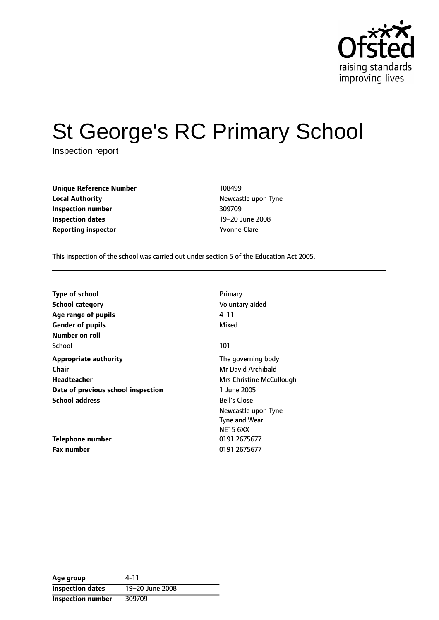

# St George's RC Primary School

Inspection report

| <b>Unique Reference Number</b> | 108499              |
|--------------------------------|---------------------|
| <b>Local Authority</b>         | Newcastle up        |
| Inspection number              | 309709              |
| <b>Inspection dates</b>        | 19–20 June 2        |
| <b>Reporting inspector</b>     | <b>Yvonne Clare</b> |

**Newcastle upon Tyne Inspection number** 309709 19-20 June 2008

This inspection of the school was carried out under section 5 of the Education Act 2005.

| <b>Type of school</b>              | Primary                  |
|------------------------------------|--------------------------|
| School category                    | Voluntary aided          |
| Age range of pupils                | 4–11                     |
| <b>Gender of pupils</b>            | Mixed                    |
| Number on roll                     |                          |
| School                             | 101                      |
| <b>Appropriate authority</b>       | The governing body       |
| Chair                              | Mr David Archibald       |
| Headteacher                        | Mrs Christine McCullough |
| Date of previous school inspection | 1 June 2005              |
| <b>School address</b>              | <b>Bell's Close</b>      |
|                                    | Newcastle upon Tyne      |
|                                    | <b>Tyne and Wear</b>     |
|                                    | <b>NE15 6XX</b>          |
| Telephone number                   | 0191 2675677             |
| <b>Fax number</b>                  | 0191 2675677             |

| Age group                | 4-11            |
|--------------------------|-----------------|
| <b>Inspection dates</b>  | 19-20 June 2008 |
| <b>Inspection number</b> | 309709          |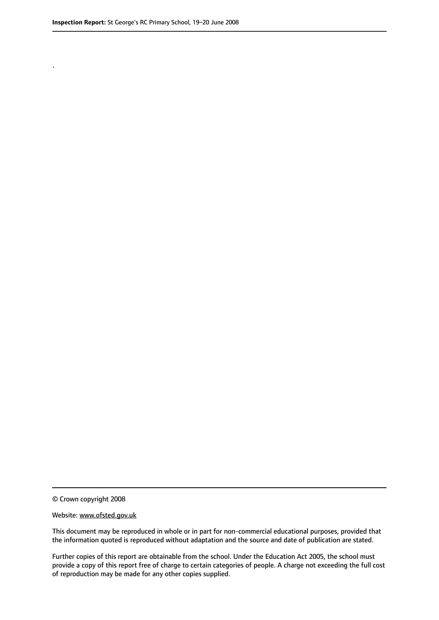.

© Crown copyright 2008

#### Website: www.ofsted.gov.uk

This document may be reproduced in whole or in part for non-commercial educational purposes, provided that the information quoted is reproduced without adaptation and the source and date of publication are stated.

Further copies of this report are obtainable from the school. Under the Education Act 2005, the school must provide a copy of this report free of charge to certain categories of people. A charge not exceeding the full cost of reproduction may be made for any other copies supplied.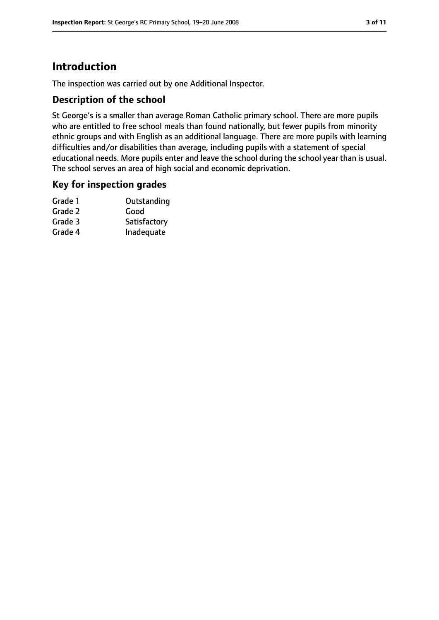## **Introduction**

The inspection was carried out by one Additional Inspector.

#### **Description of the school**

St George's is a smaller than average Roman Catholic primary school. There are more pupils who are entitled to free school meals than found nationally, but fewer pupils from minority ethnic groups and with English as an additional language. There are more pupils with learning difficulties and/or disabilities than average, including pupils with a statement of special educational needs. More pupils enter and leave the school during the school year than is usual. The school serves an area of high social and economic deprivation.

#### **Key for inspection grades**

| Grade 1 | Outstanding  |
|---------|--------------|
| Grade 2 | Good         |
| Grade 3 | Satisfactory |
| Grade 4 | Inadequate   |
|         |              |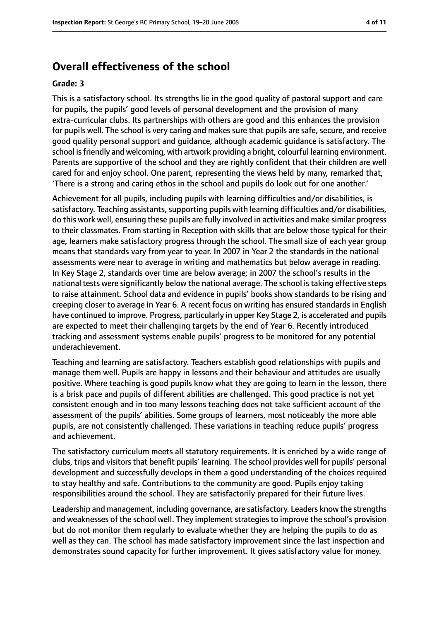## **Overall effectiveness of the school**

#### **Grade: 3**

This is a satisfactory school. Its strengths lie in the good quality of pastoral support and care for pupils, the pupils' good levels of personal development and the provision of many extra-curricular clubs. Its partnerships with others are good and this enhances the provision for pupils well. The school is very caring and makes sure that pupils are safe, secure, and receive good quality personal support and guidance, although academic guidance is satisfactory. The school is friendly and welcoming, with artwork providing a bright, colourful learning environment. Parents are supportive of the school and they are rightly confident that their children are well cared for and enjoy school. One parent, representing the views held by many, remarked that, 'There is a strong and caring ethos in the school and pupils do look out for one another.'

Achievement for all pupils, including pupils with learning difficulties and/or disabilities, is satisfactory. Teaching assistants, supporting pupils with learning difficulties and/or disabilities, do this work well, ensuring these pupils are fully involved in activities and make similar progress to their classmates. From starting in Reception with skills that are below those typical for their age, learners make satisfactory progress through the school. The small size of each year group means that standards vary from year to year. In 2007 in Year 2 the standards in the national assessments were near to average in writing and mathematics but below average in reading. In Key Stage 2, standards over time are below average; in 2007 the school's results in the national tests were significantly below the national average. The school is taking effective steps to raise attainment. School data and evidence in pupils' books show standards to be rising and creeping closer to average in Year 6. A recent focus on writing has ensured standards in English have continued to improve. Progress, particularly in upper Key Stage 2, is accelerated and pupils are expected to meet their challenging targets by the end of Year 6. Recently introduced tracking and assessment systems enable pupils' progress to be monitored for any potential underachievement.

Teaching and learning are satisfactory. Teachers establish good relationships with pupils and manage them well. Pupils are happy in lessons and their behaviour and attitudes are usually positive. Where teaching is good pupils know what they are going to learn in the lesson, there is a brisk pace and pupils of different abilities are challenged. This good practice is not yet consistent enough and in too many lessons teaching does not take sufficient account of the assessment of the pupils' abilities. Some groups of learners, most noticeably the more able pupils, are not consistently challenged. These variations in teaching reduce pupils' progress and achievement.

The satisfactory curriculum meets all statutory requirements. It is enriched by a wide range of clubs, trips and visitors that benefit pupils' learning. The school provides well for pupils' personal development and successfully develops in them a good understanding of the choices required to stay healthy and safe. Contributions to the community are good. Pupils enjoy taking responsibilities around the school. They are satisfactorily prepared for their future lives.

Leadership and management, including governance, are satisfactory. Leaders know the strengths and weaknesses of the school well. They implement strategies to improve the school's provision but do not monitor them regularly to evaluate whether they are helping the pupils to do as well as they can. The school has made satisfactory improvement since the last inspection and demonstrates sound capacity for further improvement. It gives satisfactory value for money.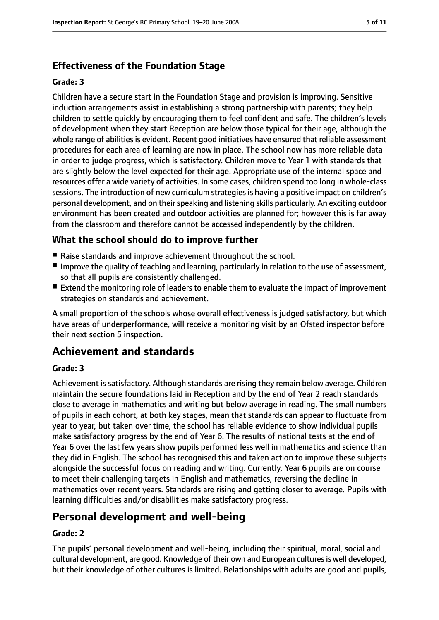## **Effectiveness of the Foundation Stage**

#### **Grade: 3**

Children have a secure start in the Foundation Stage and provision is improving. Sensitive induction arrangements assist in establishing a strong partnership with parents; they help children to settle quickly by encouraging them to feel confident and safe. The children's levels of development when they start Reception are below those typical for their age, although the whole range of abilities is evident. Recent good initiatives have ensured that reliable assessment procedures for each area of learning are now in place. The school now has more reliable data in order to judge progress, which is satisfactory. Children move to Year 1 with standards that are slightly below the level expected for their age. Appropriate use of the internal space and resources offer a wide variety of activities. In some cases, children spend too long in whole-class sessions. The introduction of new curriculum strategies is having a positive impact on children's personal development, and on their speaking and listening skills particularly. An exciting outdoor environment has been created and outdoor activities are planned for; however this is far away from the classroom and therefore cannot be accessed independently by the children.

#### **What the school should do to improve further**

- Raise standards and improve achievement throughout the school.
- Improve the quality of teaching and learning, particularly in relation to the use of assessment, so that all pupils are consistently challenged.
- Extend the monitoring role of leaders to enable them to evaluate the impact of improvement strategies on standards and achievement.

A small proportion of the schools whose overall effectiveness is judged satisfactory, but which have areas of underperformance, will receive a monitoring visit by an Ofsted inspector before their next section 5 inspection.

## **Achievement and standards**

#### **Grade: 3**

Achievement is satisfactory. Although standards are rising they remain below average. Children maintain the secure foundations laid in Reception and by the end of Year 2 reach standards close to average in mathematics and writing but below average in reading. The small numbers of pupils in each cohort, at both key stages, mean that standards can appear to fluctuate from year to year, but taken over time, the school has reliable evidence to show individual pupils make satisfactory progress by the end of Year 6. The results of national tests at the end of Year 6 over the last few years show pupils performed less well in mathematics and science than they did in English. The school has recognised this and taken action to improve these subjects alongside the successful focus on reading and writing. Currently, Year 6 pupils are on course to meet their challenging targets in English and mathematics, reversing the decline in mathematics over recent years. Standards are rising and getting closer to average. Pupils with learning difficulties and/or disabilities make satisfactory progress.

## **Personal development and well-being**

#### **Grade: 2**

The pupils' personal development and well-being, including their spiritual, moral, social and cultural development, are good. Knowledge of their own and European cultures is well developed, but their knowledge of other cultures is limited. Relationships with adults are good and pupils,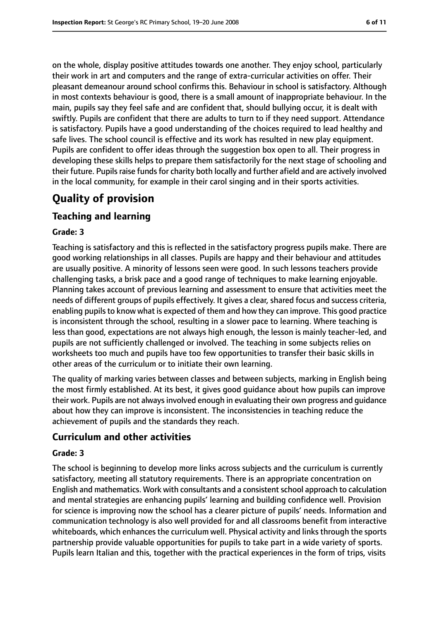on the whole, display positive attitudes towards one another. They enjoy school, particularly their work in art and computers and the range of extra-curricular activities on offer. Their pleasant demeanour around school confirms this. Behaviour in school is satisfactory. Although in most contexts behaviour is good, there is a small amount of inappropriate behaviour. In the main, pupils say they feel safe and are confident that, should bullying occur, it is dealt with swiftly. Pupils are confident that there are adults to turn to if they need support. Attendance is satisfactory. Pupils have a good understanding of the choices required to lead healthy and safe lives. The school council is effective and its work has resulted in new play equipment. Pupils are confident to offer ideas through the suggestion box open to all. Their progress in developing these skills helps to prepare them satisfactorily for the next stage of schooling and their future. Pupils raise funds for charity both locally and further afield and are actively involved in the local community, for example in their carol singing and in their sports activities.

## **Quality of provision**

#### **Teaching and learning**

#### **Grade: 3**

Teaching is satisfactory and this is reflected in the satisfactory progress pupils make. There are good working relationships in all classes. Pupils are happy and their behaviour and attitudes are usually positive. A minority of lessons seen were good. In such lessons teachers provide challenging tasks, a brisk pace and a good range of techniques to make learning enjoyable. Planning takes account of previous learning and assessment to ensure that activities meet the needs of different groups of pupils effectively. It gives a clear, shared focus and success criteria, enabling pupils to know what is expected of them and how they can improve. This good practice is inconsistent through the school, resulting in a slower pace to learning. Where teaching is less than good, expectations are not always high enough, the lesson is mainly teacher-led, and pupils are not sufficiently challenged or involved. The teaching in some subjects relies on worksheets too much and pupils have too few opportunities to transfer their basic skills in other areas of the curriculum or to initiate their own learning.

The quality of marking varies between classes and between subjects, marking in English being the most firmly established. At its best, it gives good guidance about how pupils can improve their work. Pupils are not alwaysinvolved enough in evaluating their own progress and guidance about how they can improve is inconsistent. The inconsistencies in teaching reduce the achievement of pupils and the standards they reach.

#### **Curriculum and other activities**

#### **Grade: 3**

The school is beginning to develop more links across subjects and the curriculum is currently satisfactory, meeting all statutory requirements. There is an appropriate concentration on English and mathematics. Work with consultants and a consistentschool approach to calculation and mental strategies are enhancing pupils' learning and building confidence well. Provision for science is improving now the school has a clearer picture of pupils' needs. Information and communication technology is also well provided for and all classrooms benefit from interactive whiteboards, which enhances the curriculum well. Physical activity and links through the sports partnership provide valuable opportunities for pupils to take part in a wide variety of sports. Pupils learn Italian and this, together with the practical experiences in the form of trips, visits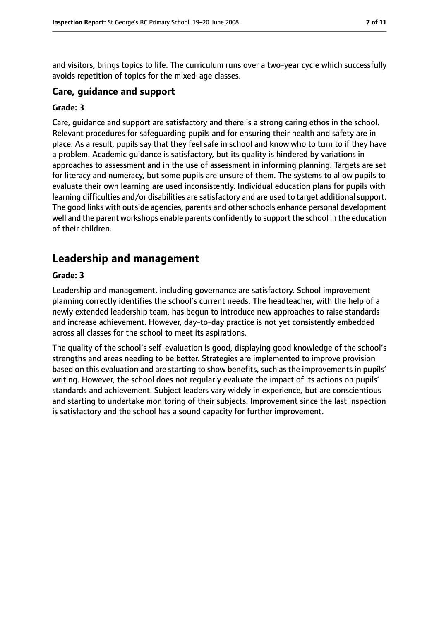and visitors, brings topics to life. The curriculum runs over a two-year cycle which successfully avoids repetition of topics for the mixed-age classes.

#### **Care, guidance and support**

#### **Grade: 3**

Care, guidance and support are satisfactory and there is a strong caring ethos in the school. Relevant procedures for safeguarding pupils and for ensuring their health and safety are in place. As a result, pupils say that they feel safe in school and know who to turn to if they have a problem. Academic guidance is satisfactory, but its quality is hindered by variations in approaches to assessment and in the use of assessment in informing planning. Targets are set for literacy and numeracy, but some pupils are unsure of them. The systems to allow pupils to evaluate their own learning are used inconsistently. Individual education plans for pupils with learning difficulties and/or disabilities are satisfactory and are used to target additional support. The good links with outside agencies, parents and other schools enhance personal development well and the parent workshops enable parents confidently to support the school in the education of their children.

## **Leadership and management**

#### **Grade: 3**

Leadership and management, including governance are satisfactory. School improvement planning correctly identifies the school's current needs. The headteacher, with the help of a newly extended leadership team, has begun to introduce new approaches to raise standards and increase achievement. However, day-to-day practice is not yet consistently embedded across all classes for the school to meet its aspirations.

The quality of the school's self-evaluation is good, displaying good knowledge of the school's strengths and areas needing to be better. Strategies are implemented to improve provision based on this evaluation and are starting to show benefits, such as the improvements in pupils' writing. However, the school does not regularly evaluate the impact of its actions on pupils' standards and achievement. Subject leaders vary widely in experience, but are conscientious and starting to undertake monitoring of their subjects. Improvement since the last inspection is satisfactory and the school has a sound capacity for further improvement.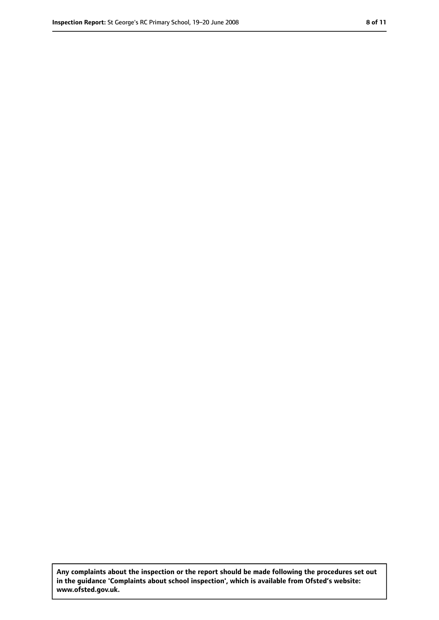**Any complaints about the inspection or the report should be made following the procedures set out in the guidance 'Complaints about school inspection', which is available from Ofsted's website: www.ofsted.gov.uk.**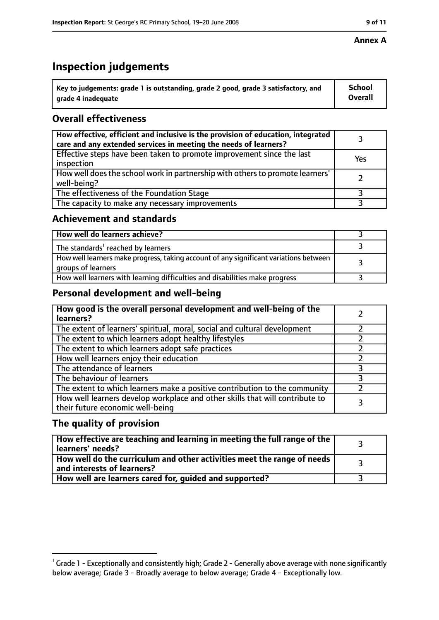# **Inspection judgements**

| $^{\backprime}$ Key to judgements: grade 1 is outstanding, grade 2 good, grade 3 satisfactory, and | <b>School</b>  |
|----------------------------------------------------------------------------------------------------|----------------|
| arade 4 inadequate                                                                                 | <b>Overall</b> |

## **Overall effectiveness**

| How effective, efficient and inclusive is the provision of education, integrated<br>care and any extended services in meeting the needs of learners? |     |
|------------------------------------------------------------------------------------------------------------------------------------------------------|-----|
| Effective steps have been taken to promote improvement since the last<br>inspection                                                                  | Yes |
| How well does the school work in partnership with others to promote learners'<br>well-being?                                                         |     |
| The effectiveness of the Foundation Stage                                                                                                            |     |
| The capacity to make any necessary improvements                                                                                                      |     |

#### **Achievement and standards**

| How well do learners achieve?                                                                               |  |
|-------------------------------------------------------------------------------------------------------------|--|
| The standards <sup>1</sup> reached by learners                                                              |  |
| How well learners make progress, taking account of any significant variations between<br>groups of learners |  |
| How well learners with learning difficulties and disabilities make progress                                 |  |

#### **Personal development and well-being**

| How good is the overall personal development and well-being of the<br>learners?                                  |  |
|------------------------------------------------------------------------------------------------------------------|--|
| The extent of learners' spiritual, moral, social and cultural development                                        |  |
| The extent to which learners adopt healthy lifestyles                                                            |  |
| The extent to which learners adopt safe practices                                                                |  |
| How well learners enjoy their education                                                                          |  |
| The attendance of learners                                                                                       |  |
| The behaviour of learners                                                                                        |  |
| The extent to which learners make a positive contribution to the community                                       |  |
| How well learners develop workplace and other skills that will contribute to<br>their future economic well-being |  |

#### **The quality of provision**

| How effective are teaching and learning in meeting the full range of the<br>learners' needs?          |  |
|-------------------------------------------------------------------------------------------------------|--|
| How well do the curriculum and other activities meet the range of needs<br>and interests of learners? |  |
| How well are learners cared for, guided and supported?                                                |  |

 $^1$  Grade 1 - Exceptionally and consistently high; Grade 2 - Generally above average with none significantly below average; Grade 3 - Broadly average to below average; Grade 4 - Exceptionally low.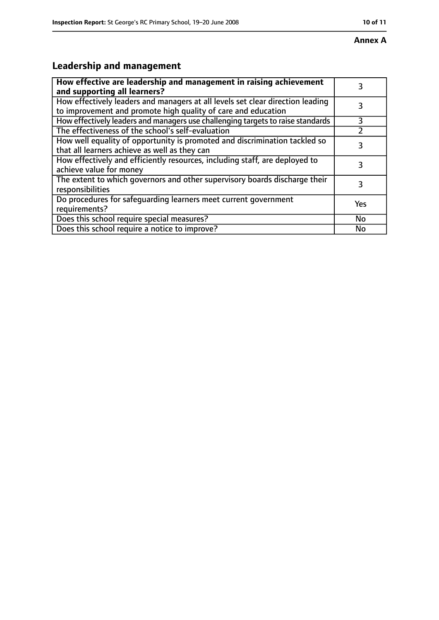# **Leadership and management**

| How effective are leadership and management in raising achievement<br>and supporting all learners?                                              | 3   |
|-------------------------------------------------------------------------------------------------------------------------------------------------|-----|
| How effectively leaders and managers at all levels set clear direction leading<br>to improvement and promote high quality of care and education |     |
| How effectively leaders and managers use challenging targets to raise standards                                                                 | 3   |
| The effectiveness of the school's self-evaluation                                                                                               |     |
| How well equality of opportunity is promoted and discrimination tackled so<br>that all learners achieve as well as they can                     | 3   |
| How effectively and efficiently resources, including staff, are deployed to<br>achieve value for money                                          | 3   |
| The extent to which governors and other supervisory boards discharge their<br>responsibilities                                                  | 3   |
| Do procedures for safequarding learners meet current government<br>requirements?                                                                | Yes |
| Does this school require special measures?                                                                                                      | No  |
| Does this school require a notice to improve?                                                                                                   | No  |